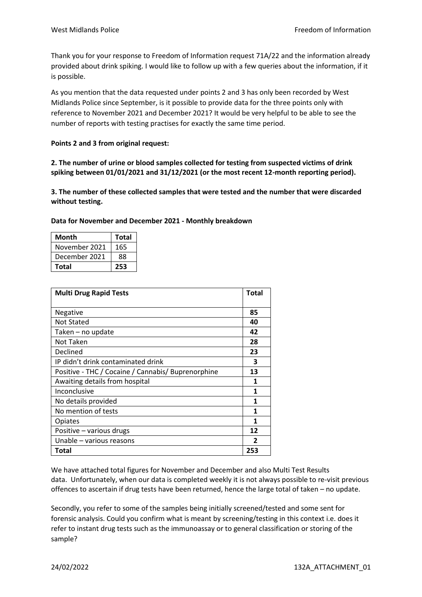Thank you for your response to Freedom of Information request 71A/22 and the information already provided about drink spiking. I would like to follow up with a few queries about the information, if it is possible.

As you mention that the data requested under points 2 and 3 has only been recorded by West Midlands Police since September, is it possible to provide data for the three points only with reference to November 2021 and December 2021? It would be very helpful to be able to see the number of reports with testing practises for exactly the same time period.

## **Points 2 and 3 from original request:**

**2. The number of urine or blood samples collected for testing from suspected victims of drink spiking between 01/01/2021 and 31/12/2021 (or the most recent 12-month reporting period).**

**3. The number of these collected samples that were tested and the number that were discarded without testing.** 

| Month         | <b>Total</b> |
|---------------|--------------|
| November 2021 | 165          |
| December 2021 | 88           |
| <b>Total</b>  | 253          |

| <b>Multi Drug Rapid Tests</b>                      | <b>Total</b> |
|----------------------------------------------------|--------------|
|                                                    |              |
| Negative                                           | 85           |
| <b>Not Stated</b>                                  | 40           |
| Taken – no update                                  | 42           |
| Not Taken                                          | 28           |
| Declined                                           | 23           |
| IP didn't drink contaminated drink                 | 3            |
| Positive - THC / Cocaine / Cannabis/ Buprenorphine | 13           |
| Awaiting details from hospital                     | 1            |
| Inconclusive                                       | 1            |
| No details provided                                | 1            |
| No mention of tests                                | 1            |
| Opiates                                            | 1            |
| Positive - various drugs                           | 12           |
| Unable – various reasons                           | 2            |
| Total                                              | 253          |

**Data for November and December 2021 - Monthly breakdown**

We have attached total figures for November and December and also Multi Test Results data. Unfortunately, when our data is completed weekly it is not always possible to re-visit previous offences to ascertain if drug tests have been returned, hence the large total of taken – no update.

Secondly, you refer to some of the samples being initially screened/tested and some sent for forensic analysis. Could you confirm what is meant by screening/testing in this context i.e. does it refer to instant drug tests such as the immunoassay or to general classification or storing of the sample?